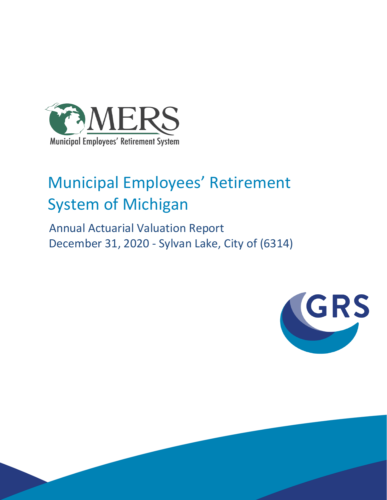

# Municipal Employees' Retirement System of Michigan

 Annual Actuarial Valuation Report December 31, 2020 - Sylvan Lake, City of (6314)

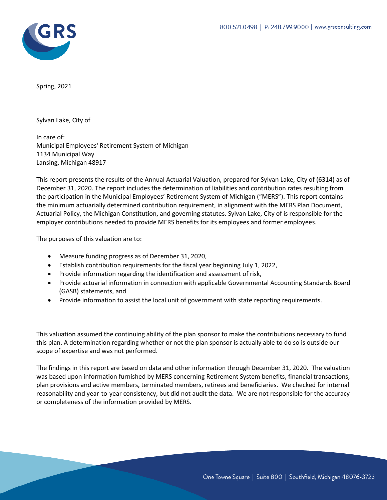

Spring, 2021

Sylvan Lake, City of

In care of: Municipal Employees' Retirement System of Michigan 1134 Municipal Way Lansing, Michigan 48917

This report presents the results of the Annual Actuarial Valuation, prepared for Sylvan Lake, City of (6314) as of December 31, 2020. The report includes the determination of liabilities and contribution rates resulting from the participation in the Municipal Employees' Retirement System of Michigan ("MERS"). This report contains the minimum actuarially determined contribution requirement, in alignment with the MERS Plan Document, Actuarial Policy, the Michigan Constitution, and governing statutes. Sylvan Lake, City of is responsible for the employer contributions needed to provide MERS benefits for its employees and former employees.

The purposes of this valuation are to:

- Measure funding progress as of December 31, 2020,
- Establish contribution requirements for the fiscal year beginning July 1, 2022,
- Provide information regarding the identification and assessment of risk,
- Provide actuarial information in connection with applicable Governmental Accounting Standards Board (GASB) statements, and
- Provide information to assist the local unit of government with state reporting requirements.

This valuation assumed the continuing ability of the plan sponsor to make the contributions necessary to fund this plan. A determination regarding whether or not the plan sponsor is actually able to do so is outside our scope of expertise and was not performed.

The findings in this report are based on data and other information through December 31, 2020. The valuation was based upon information furnished by MERS concerning Retirement System benefits, financial transactions, plan provisions and active members, terminated members, retirees and beneficiaries. We checked for internal reasonability and year-to-year consistency, but did not audit the data. We are not responsible for the accuracy or completeness of the information provided by MERS.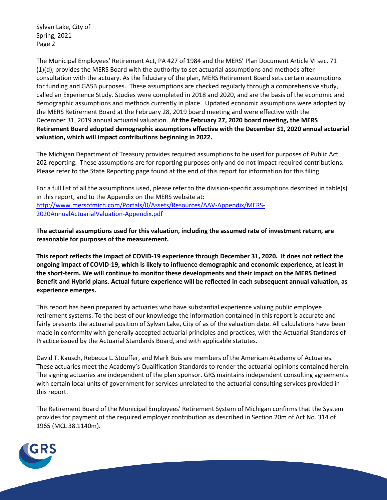Sylvan Lake, City of Spring, 2021 Page 2

The Municipal Employees' Retirement Act, PA 427 of 1984 and the MERS' Plan Document Article VI sec. 71 (1)(d), provides the MERS Board with the authority to set actuarial assumptions and methods after consultation with the actuary. As the fiduciary of the plan, MERS Retirement Board sets certain assumptions for funding and GASB purposes. These assumptions are checked regularly through a comprehensive study, called an Experience Study. Studies were completed in 2018 and 2020, and are the basis of the economic and demographic assumptions and methods currently in place. Updated economic assumptions were adopted by the MERS Retirement Board at the February 28, 2019 board meeting and were effective with the December 31, 2019 annual actuarial valuation. **At the February 27, 2020 board meeting, the MERS Retirement Board adopted demographic assumptions effective with the December 31, 2020 annual actuarial valuation, which will impact contributions beginning in 2022.**

The Michigan Department of Treasury provides required assumptions to be used for purposes of Public Act 202 reporting. These assumptions are for reporting purposes only and do not impact required contributions. Please refer to the State Reporting page found at the end of this report for information for this filing.

For a full list of all the assumptions used, please refer to the division-specific assumptions described in table(s) in this report, and to the Appendix on the MERS website at: http://www.mersofmich.com/Portals/0/Assets/Resources/AAV-Appendix/MERS-2020AnnualActuarialValuation-Appendix.pdf

**The actuarial assumptions used for this valuation, including the assumed rate of investment return, are reasonable for purposes of the measurement.**

**This report reflects the impact of COVID-19 experience through December 31, 2020. It does not reflect the ongoing impact of COVID-19, which is likely to influence demographic and economic experience, at least in the short-term. We will continue to monitor these developments and their impact on the MERS Defined Benefit and Hybrid plans. Actual future experience will be reflected in each subsequent annual valuation, as experience emerges.**

This report has been prepared by actuaries who have substantial experience valuing public employee retirement systems. To the best of our knowledge the information contained in this report is accurate and fairly presents the actuarial position of Sylvan Lake, City of as of the valuation date. All calculations have been made in conformity with generally accepted actuarial principles and practices, with the Actuarial Standards of Practice issued by the Actuarial Standards Board, and with applicable statutes.

David T. Kausch, Rebecca L. Stouffer, and Mark Buis are members of the American Academy of Actuaries. These actuaries meet the Academy's Qualification Standards to render the actuarial opinions contained herein. The signing actuaries are independent of the plan sponsor. GRS maintains independent consulting agreements with certain local units of government for services unrelated to the actuarial consulting services provided in this report.

The Retirement Board of the Municipal Employees' Retirement System of Michigan confirms that the System provides for payment of the required employer contribution as described in Section 20m of Act No. 314 of 1965 (MCL 38.1140m).

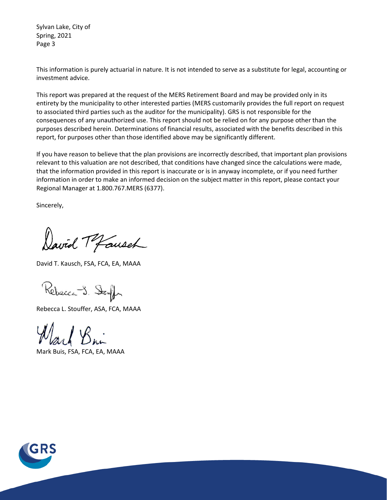Sylvan Lake, City of Spring, 2021 Page 3

This information is purely actuarial in nature. It is not intended to serve as a substitute for legal, accounting or investment advice.

This report was prepared at the request of the MERS Retirement Board and may be provided only in its entirety by the municipality to other interested parties (MERS customarily provides the full report on request to associated third parties such as the auditor for the municipality). GRS is not responsible for the consequences of any unauthorized use. This report should not be relied on for any purpose other than the purposes described herein. Determinations of financial results, associated with the benefits described in this report, for purposes other than those identified above may be significantly different.

If you have reason to believe that the plan provisions are incorrectly described, that important plan provisions relevant to this valuation are not described, that conditions have changed since the calculations were made, that the information provided in this report is inaccurate or is in anyway incomplete, or if you need further information in order to make an informed decision on the subject matter in this report, please contact your Regional Manager at 1.800.767.MERS (6377).

Sincerely,

David Tofausch

David T. Kausch, FSA, FCA, EA, MAAA

Rebecca J. Stough

Rebecca L. Stouffer, ASA, FCA, MAAA

Mark Buis, FSA, FCA, EA, MAAA

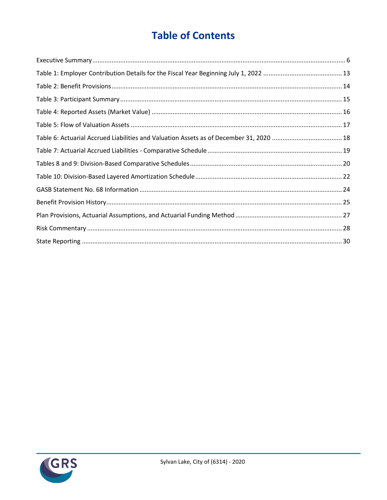# **Table of Contents**

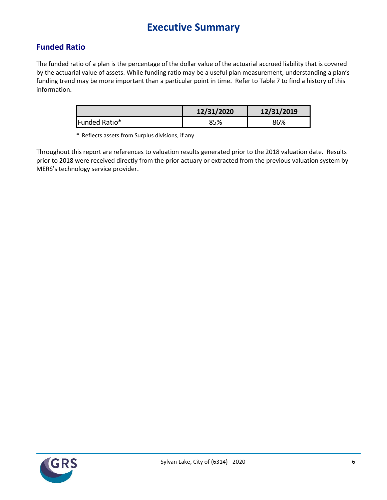## **Executive Summary**

### **Funded Ratio**

The funded ratio of a plan is the percentage of the dollar value of the actuarial accrued liability that is covered by the actuarial value of assets. While funding ratio may be a useful plan measurement, understanding a plan's funding trend may be more important than a particular point in time. Refer to Table 7 to find a history of this information.

|               | 12/31/2020 | 12/31/2019 |
|---------------|------------|------------|
| Funded Ratio* | <b>95%</b> | 86%        |

\* Reflects assets from Surplus divisions, if any.

Throughout this report are references to valuation results generated prior to the 2018 valuation date. Results prior to 2018 were received directly from the prior actuary or extracted from the previous valuation system by MERS's technology service provider.

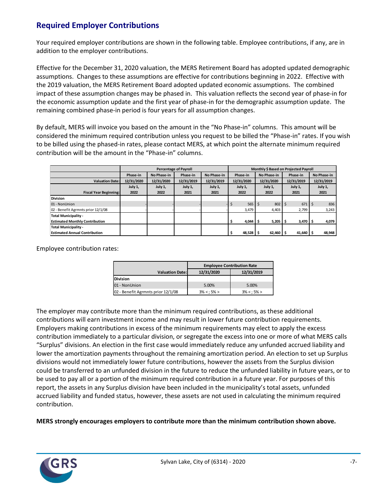### **Required Employer Contributions**

Your required employer contributions are shown in the following table. Employee contributions, if any, are in addition to the employer contributions.

Effective for the December 31, 2020 valuation, the MERS Retirement Board has adopted updated demographic assumptions. Changes to these assumptions are effective for contributions beginning in 2022. Effective with the 2019 valuation, the MERS Retirement Board adopted updated economic assumptions. The combined impact of these assumption changes may be phased in. This valuation reflects the second year of phase-in for the economic assumption update and the first year of phase-in for the demographic assumption update. The remaining combined phase-in period is four years for all assumption changes.

By default, MERS will invoice you based on the amount in the "No Phase-in" columns. This amount will be considered the minimum required contribution unless you request to be billed the "Phase-in" rates. If you wish to be billed using the phased-in rates, please contact MERS, at which point the alternate minimum required contribution will be the amount in the "Phase-in" columns.

|                                       |            |             | <b>Percentage of Payroll</b> | Monthly \$ Based on Projected Payroll |             |                       |                       |             |  |  |  |
|---------------------------------------|------------|-------------|------------------------------|---------------------------------------|-------------|-----------------------|-----------------------|-------------|--|--|--|
|                                       | Phase-in   | No Phase-in | Phase-in                     | No Phase-in                           | Phase-in    | No Phase-in           | Phase-in              | No Phase-in |  |  |  |
| <b>Valuation Date:</b>                | 12/31/2020 | 12/31/2020  | 12/31/2019                   | 12/31/2019                            | 12/31/2020  | 12/31/2020            | 12/31/2019            | 12/31/2019  |  |  |  |
|                                       | July 1,    | July 1,     | July 1,                      | July 1,                               | July 1,     | July 1,               | July 1,               | July 1,     |  |  |  |
| <b>Fiscal Year Beginning:</b>         | 2022       | 2022        | 2021                         | 2021                                  | 2022        | 2022                  | 2021                  | 2021        |  |  |  |
| <b>Division</b>                       |            |             |                              |                                       |             |                       |                       |             |  |  |  |
| 01 - NonUnion                         |            |             |                              |                                       | 565         | 802<br>S              | 671                   | 836<br>Ŝ    |  |  |  |
| 02 - Benefit Agrmnts prior 12/1/08    |            |             |                              |                                       | 3.479       | 4,403                 | 2,799                 | 3,243       |  |  |  |
| <b>Total Municipality -</b>           |            |             |                              |                                       |             |                       |                       |             |  |  |  |
| <b>Estimated Monthly Contribution</b> |            |             |                              |                                       | 4.044       | $5,205$ $\frac{1}{2}$ | $3,470$ $\frac{1}{5}$ | 4,079       |  |  |  |
| <b>Total Municipality -</b>           |            |             |                              |                                       |             |                       |                       |             |  |  |  |
| <b>Estimated Annual Contribution</b>  |            |             |                              |                                       | $48,528$ \$ | 62,460                | $41,640$   \$         | 48,948      |  |  |  |

Employee contribution rates:

|                                    | <b>Employee Contribution Rate</b> |               |  |  |  |  |
|------------------------------------|-----------------------------------|---------------|--|--|--|--|
| <b>Valuation Date:</b>             | 12/31/2020                        | 12/31/2019    |  |  |  |  |
| <b>Division</b>                    |                                   |               |  |  |  |  |
| 01 - NonUnion                      | 5.00%                             | 5.00%         |  |  |  |  |
| 02 - Benefit Agrmnts prior 12/1/08 | $3\% < 5\% >$                     | $3\% < 5\% >$ |  |  |  |  |

The employer may contribute more than the minimum required contributions, as these additional contributions will earn investment income and may result in lower future contribution requirements. Employers making contributions in excess of the minimum requirements may elect to apply the excess contribution immediately to a particular division, or segregate the excess into one or more of what MERS calls "Surplus" divisions. An election in the first case would immediately reduce any unfunded accrued liability and lower the amortization payments throughout the remaining amortization period. An election to set up Surplus divisions would not immediately lower future contributions, however the assets from the Surplus division could be transferred to an unfunded division in the future to reduce the unfunded liability in future years, or to be used to pay all or a portion of the minimum required contribution in a future year. For purposes of this report, the assets in any Surplus division have been included in the municipality's total assets, unfunded accrued liability and funded status, however, these assets are not used in calculating the minimum required contribution.

**MERS strongly encourages employers to contribute more than the minimum contribution shown above.**

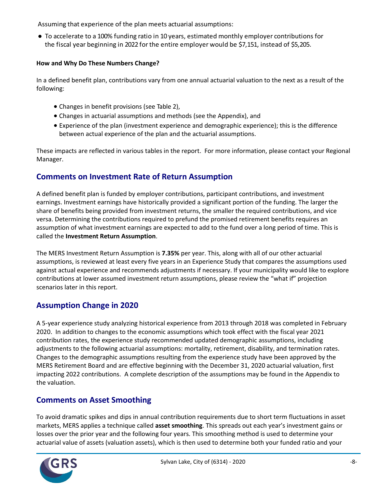Assuming that experience of the plan meets actuarial assumptions:

● To accelerate to a 100% funding ratio in 10 years, estimated monthly employer contributions for the fiscal year beginning in 2022 for the entire employer would be \$7,151, instead of \$5,205.

#### **How and Why Do These Numbers Change?**

In a defined benefit plan, contributions vary from one annual actuarial valuation to the next as a result of the following:

- Changes in benefit provisions (see Table 2),
- Changes in actuarial assumptions and methods (see the Appendix), and
- Experience of the plan (investment experience and demographic experience); this is the difference between actual experience of the plan and the actuarial assumptions.

These impacts are reflected in various tables in the report. For more information, please contact your Regional Manager.

### **Comments on Investment Rate of Return Assumption**

A defined benefit plan is funded by employer contributions, participant contributions, and investment earnings. Investment earnings have historically provided a significant portion of the funding. The larger the share of benefits being provided from investment returns, the smaller the required contributions, and vice versa. Determining the contributions required to prefund the promised retirement benefits requires an assumption of what investment earnings are expected to add to the fund over a long period of time. This is called the **Investment Return Assumption**.

The MERS Investment Return Assumption is **7.35%** per year. This, along with all of our other actuarial assumptions, is reviewed at least every five years in an Experience Study that compares the assumptions used against actual experience and recommends adjustments if necessary. If your municipality would like to explore contributions at lower assumed investment return assumptions, please review the "what if" projection scenarios later in this report.

### **Assumption Change in 2020**

A 5-year experience study analyzing historical experience from 2013 through 2018 was completed in February 2020. In addition to changes to the economic assumptions which took effect with the fiscal year 2021 contribution rates, the experience study recommended updated demographic assumptions, including adjustments to the following actuarial assumptions: mortality, retirement, disability, and termination rates. Changes to the demographic assumptions resulting from the experience study have been approved by the MERS Retirement Board and are effective beginning with the December 31, 2020 actuarial valuation, first impacting 2022 contributions. A complete description of the assumptions may be found in the Appendix to the valuation.

### **Comments on Asset Smoothing**

To avoid dramatic spikes and dips in annual contribution requirements due to short term fluctuations in asset markets, MERS applies a technique called **asset smoothing**. This spreads out each year's investment gains or losses over the prior year and the following four years. This smoothing method is used to determine your actuarial value of assets (valuation assets), which is then used to determine both your funded ratio and your

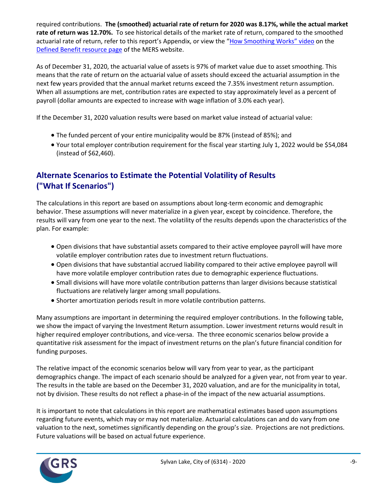required contributions. **The (smoothed) actuarial rate of return for 2020 was 8.17%, while the actual market rate of return was 12.70%.** To see historical details of the market rate of return, compared to the smoothed actuarial rate of return, refer to this report's Appendix, or view the "How Smoothing Works" video on the Defined Benefit resource page of the MERS website.

As of December 31, 2020, the actuarial value of assets is 97% of market value due to asset smoothing. This means that the rate of return on the actuarial value of assets should exceed the actuarial assumption in the next few years provided that the annual market returns exceed the 7.35% investment return assumption. When all assumptions are met, contribution rates are expected to stay approximately level as a percent of payroll (dollar amounts are expected to increase with wage inflation of 3.0% each year).

If the December 31, 2020 valuation results were based on market value instead of actuarial value:

- The funded percent of your entire municipality would be 87% (instead of 85%); and
- Your total employer contribution requirement for the fiscal year starting July 1, 2022 would be \$54,084 (instead of \$62,460).

### **Alternate Scenarios to Estimate the Potential Volatility of Results ("What If Scenarios")**

The calculations in this report are based on assumptions about long-term economic and demographic behavior. These assumptions will never materialize in a given year, except by coincidence. Therefore, the results will vary from one year to the next. The volatility of the results depends upon the characteristics of the plan. For example:

- Open divisions that have substantial assets compared to their active employee payroll will have more volatile employer contribution rates due to investment return fluctuations.
- Open divisions that have substantial accrued liability compared to their active employee payroll will have more volatile employer contribution rates due to demographic experience fluctuations.
- Small divisions will have more volatile contribution patterns than larger divisions because statistical fluctuations are relatively larger among small populations.
- Shorter amortization periods result in more volatile contribution patterns.

Many assumptions are important in determining the required employer contributions. In the following table, we show the impact of varying the Investment Return assumption. Lower investment returns would result in higher required employer contributions, and vice-versa. The three economic scenarios below provide a quantitative risk assessment for the impact of investment returns on the plan's future financial condition for funding purposes.

The relative impact of the economic scenarios below will vary from year to year, as the participant demographics change. The impact of each scenario should be analyzed for a given year, not from year to year. The results in the table are based on the December 31, 2020 valuation, and are for the municipality in total, not by division. These results do not reflect a phase-in of the impact of the new actuarial assumptions.

It is important to note that calculations in this report are mathematical estimates based upon assumptions regarding future events, which may or may not materialize. Actuarial calculations can and do vary from one valuation to the next, sometimes significantly depending on the group's size. Projections are not predictions. Future valuations will be based on actual future experience.

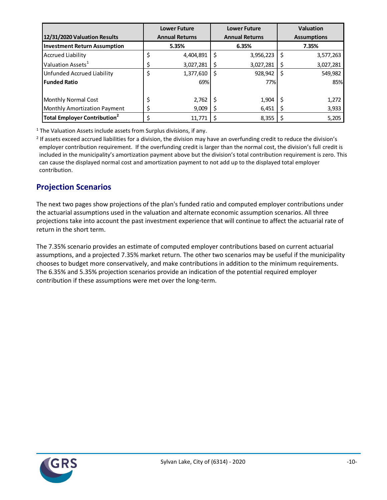|                                          | <b>Lower Future</b> |                       |    | <b>Lower Future</b>   |    | <b>Valuation</b>   |
|------------------------------------------|---------------------|-----------------------|----|-----------------------|----|--------------------|
| 12/31/2020 Valuation Results             |                     | <b>Annual Returns</b> |    | <b>Annual Returns</b> |    | <b>Assumptions</b> |
| <b>Investment Return Assumption</b>      |                     | 5.35%                 |    | 6.35%                 |    | 7.35%              |
| <b>Accrued Liability</b>                 | \$                  | 4,404,891             | -S | 3,956,223             | \$ | 3,577,263          |
| Valuation Assets <sup>1</sup>            | \$                  | 3,027,281             |    | 3,027,281             | S  | 3,027,281          |
| <b>Unfunded Accrued Liability</b>        | \$                  | 1,377,610             |    | 928,942               | \$ | 549,982            |
| <b>Funded Ratio</b>                      |                     | 69%                   |    | 77%                   |    | 85%                |
| Monthly Normal Cost                      |                     | 2,762                 |    | 1,904                 |    | 1,272              |
| <b>Monthly Amortization Payment</b>      |                     | 9,009                 |    | 6,451                 |    | 3,933              |
| Total Employer Contribution <sup>2</sup> |                     | 11.771                |    | 8,355                 |    | 5,205              |

 $1$  The Valuation Assets include assets from Surplus divisions, if any.

<sup>2</sup> If assets exceed accrued liabilities for a division, the division may have an overfunding credit to reduce the division's employer contribution requirement. If the overfunding credit is larger than the normal cost, the division's full credit is included in the municipality's amortization payment above but the division's total contribution requirement is zero. This can cause the displayed normal cost and amortization payment to not add up to the displayed total employer contribution.

### **Projection Scenarios**

The next two pages show projections of the plan's funded ratio and computed employer contributions under the actuarial assumptions used in the valuation and alternate economic assumption scenarios. All three projections take into account the past investment experience that will continue to affect the actuarial rate of return in the short term.

The 7.35% scenario provides an estimate of computed employer contributions based on current actuarial assumptions, and a projected 7.35% market return. The other two scenarios may be useful if the municipality chooses to budget more conservatively, and make contributions in addition to the minimum requirements. The 6.35% and 5.35% projection scenarios provide an indication of the potential required employer contribution if these assumptions were met over the long-term.

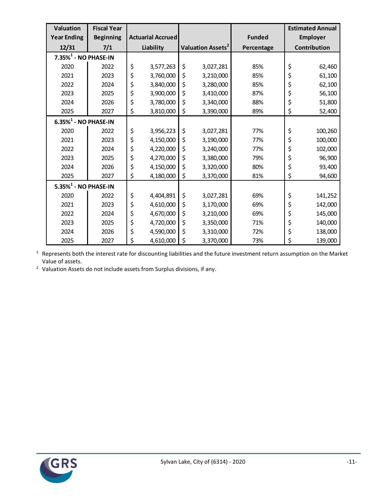| Valuation                           | <b>Fiscal Year</b> |           |                          |                               |               |                 | <b>Estimated Annual</b> |
|-------------------------------------|--------------------|-----------|--------------------------|-------------------------------|---------------|-----------------|-------------------------|
| <b>Year Ending</b>                  | <b>Beginning</b>   |           | <b>Actuarial Accrued</b> |                               | <b>Funded</b> | <b>Employer</b> |                         |
| 12/31                               | 7/1                | Liability |                          | Valuation Assets <sup>2</sup> | Percentage    |                 | Contribution            |
| 7.35% <sup>1</sup> - NO PHASE-IN    |                    |           |                          |                               |               |                 |                         |
| 2020                                | 2022               | \$        | 3,577,263                | \$<br>3,027,281               | 85%           | \$              | 62,460                  |
| 2021                                | 2023               | \$        | 3,760,000                | \$<br>3,210,000               | 85%           | \$              | 61,100                  |
| 2022                                | 2024               | \$        | 3,840,000                | \$<br>3,280,000               | 85%           | \$              | 62,100                  |
| 2023                                | 2025               | \$        | 3,900,000                | \$<br>3,410,000               | 87%           | \$              | 56,100                  |
| 2024                                | 2026               | \$        | 3,780,000                | \$<br>3,340,000               | 88%           | \$              | 51,800                  |
| 2025                                | 2027               | \$        | 3,810,000                | \$<br>3,390,000               | 89%           | \$              | 52,400                  |
| $6.35\%$ <sup>1</sup> - NO PHASE-IN |                    |           |                          |                               |               |                 |                         |
| 2020                                | 2022               | \$        | 3,956,223                | \$<br>3,027,281               | 77%           | \$              | 100,260                 |
| 2021                                | 2023               | \$        | 4,150,000                | \$<br>3,190,000               | 77%           | \$              | 100,000                 |
| 2022                                | 2024               | \$        | 4,220,000                | \$<br>3,240,000               | 77%           | \$              | 102,000                 |
| 2023                                | 2025               | \$        | 4,270,000                | \$<br>3,380,000               | 79%           | \$              | 96,900                  |
| 2024                                | 2026               | \$        | 4,150,000                | \$<br>3,320,000               | 80%           | \$              | 93,400                  |
| 2025                                | 2027               | \$        | 4,180,000                | \$<br>3,370,000               | 81%           | \$              | 94,600                  |
| $5.35\%$ <sup>1</sup> - NO PHASE-IN |                    |           |                          |                               |               |                 |                         |
| 2020                                | 2022               | \$        | 4,404,891                | \$<br>3,027,281               | 69%           | \$              | 141,252                 |
| 2021                                | 2023               | \$        | 4,610,000                | \$<br>3,170,000               | 69%           | \$              | 142,000                 |
| 2022                                | 2024               | \$        | 4,670,000                | \$<br>3,210,000               | 69%           | \$              | 145,000                 |
| 2023                                | 2025               | \$        | 4,720,000                | \$<br>3,350,000               | 71%           | \$              | 140,000                 |
| 2024                                | 2026               | \$        | 4,590,000                | \$<br>3,310,000               | 72%           | \$              | 138,000                 |
| 2025                                | 2027               | \$        | 4,610,000                | \$<br>3,370,000               | 73%           | \$              | 139,000                 |

 Represents both the interest rate for discounting liabilities and the future investment return assumption on the Market Value of assets.

Valuation Assets do not include assets from Surplus divisions, if any.

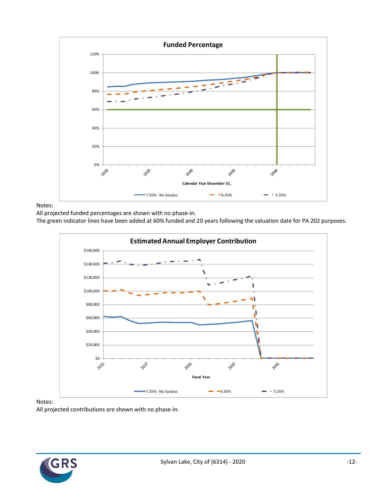

Notes:

All projected funded percentages are shown with no phase-in.

The green indicator lines have been added at 60% funded and 20 years following the valuation date for PA 202 purposes.



Notes:

All projected contributions are shown with no phase-in.

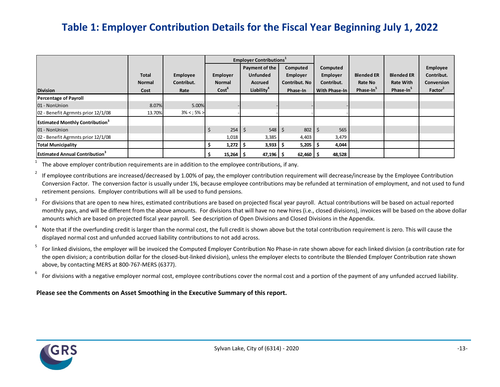## **Table 1: Employer Contribution Details for the Fiscal Year Beginning July 1, 2022**

|                                                    |                                       |                                |                                                | <b>Employer Contributions</b> <sup>1</sup>                                    |                                                                 |                                                     |                                                       |                                                                |                                                                    |
|----------------------------------------------------|---------------------------------------|--------------------------------|------------------------------------------------|-------------------------------------------------------------------------------|-----------------------------------------------------------------|-----------------------------------------------------|-------------------------------------------------------|----------------------------------------------------------------|--------------------------------------------------------------------|
| <b>Division</b>                                    | <b>Total</b><br><b>Normal</b><br>Cost | Employee<br>Contribut.<br>Rate | Employer<br><b>Normal</b><br>Cost <sup>b</sup> | Payment of the<br><b>Unfunded</b><br><b>Accrued</b><br>Liability <sup>4</sup> | Computed<br><b>Employer</b><br><b>Contribut. No</b><br>Phase-In | Computed<br>Employer<br>Contribut.<br>With Phase-In | <b>Blended ER</b><br>Rate No<br>Phase-In <sup>3</sup> | <b>Blended ER</b><br><b>Rate With</b><br>Phase-In <sup>3</sup> | Employee<br>Contribut.<br><b>Conversion</b><br>Factor <sup>2</sup> |
| <b>Percentage of Payroll</b>                       |                                       |                                |                                                |                                                                               |                                                                 |                                                     |                                                       |                                                                |                                                                    |
| 01 - NonUnion                                      | 8.07%                                 | 5.00%                          |                                                |                                                                               |                                                                 |                                                     |                                                       |                                                                |                                                                    |
| 02 - Benefit Agrmnts prior 12/1/08                 | 13.70%                                | $3\% < 5\% >$                  |                                                |                                                                               |                                                                 |                                                     |                                                       |                                                                |                                                                    |
| <b>Estimated Monthly Contribution</b> <sup>3</sup> |                                       |                                |                                                |                                                                               |                                                                 |                                                     |                                                       |                                                                |                                                                    |
| 01 - NonUnion                                      |                                       |                                |                                                | $254 \,$ \$<br>548                                                            | 802<br>S                                                        | 565<br>-S                                           |                                                       |                                                                |                                                                    |
| 02 - Benefit Agrmnts prior 12/1/08                 |                                       |                                | 1,018                                          | 3,385                                                                         | 4,403                                                           | 3,479                                               |                                                       |                                                                |                                                                    |
| <b>Total Municipality</b>                          |                                       |                                | $1,272$   \$                                   | 3,933                                                                         | 5,205                                                           | 4,044                                               |                                                       |                                                                |                                                                    |
| <b>Estimated Annual Contribution</b> <sup>3</sup>  |                                       |                                | $15,264$ \$                                    | 47,196                                                                        | $62,460$ $\mid$ \$                                              | 48,528                                              |                                                       |                                                                |                                                                    |

1 The above employer contribution requirements are in addition to the employee contributions, if any.

2 If employee contributions are increased/decreased by 1.00% of pay, the employer contribution requirement will decrease/increase by the Employee Contribution Conversion Factor. The conversion factor is usually under 1%, because employee contributions may be refunded at termination of employment, and not used to fund retirement pensions. Employer contributions will all be used to fund pensions.

3 For divisions that are open to new hires, estimated contributions are based on projected fiscal year payroll. Actual contributions will be based on actual reported monthly pays, and will be different from the above amounts. For divisions that will have no new hires (i.e., closed divisions), invoices will be based on the above dollar amounts which are based on projected fiscal year payroll. See description of Open Divisions and Closed Divisions in the Appendix.

4 Note that if the overfunding credit is larger than the normal cost, the full credit is shown above but the total contribution requirement is zero. This will cause the displayed normal cost and unfunded accrued liability contributions to not add across.

5 For linked divisions, the employer will be invoiced the Computed Employer Contribution No Phase-in rate shown above for each linked division (a contribution rate for the open division; a contribution dollar for the closed-but-linked division), unless the employer elects to contribute the Blended Employer Contribution rate shown above, by contacting MERS at 800-767-MERS (6377).

6 For divisions with a negative employer normal cost, employee contributions cover the normal cost and a portion of the payment of any unfunded accrued liability.

#### **Please see the Comments on Asset Smoothing in the Executive Summary of this report.**

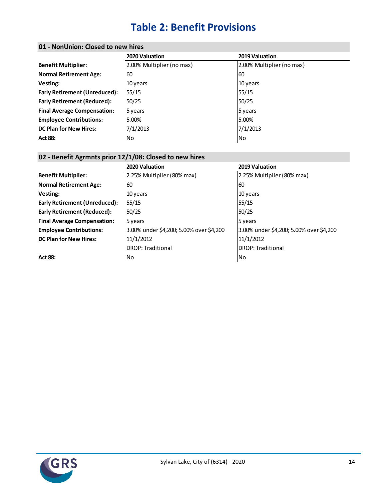# **Table 2: Benefit Provisions**

#### **01 - NonUnion: Closed to new hires**

|                                    | 2020 Valuation            | 2019 Valuation            |
|------------------------------------|---------------------------|---------------------------|
| <b>Benefit Multiplier:</b>         | 2.00% Multiplier (no max) | 2.00% Multiplier (no max) |
| <b>Normal Retirement Age:</b>      | 60                        | 60                        |
| Vesting:                           | 10 years                  | 10 years                  |
| Early Retirement (Unreduced):      | 55/15                     | 55/15                     |
| <b>Early Retirement (Reduced):</b> | 50/25                     | 50/25                     |
| <b>Final Average Compensation:</b> | 5 years                   | 5 years                   |
| <b>Employee Contributions:</b>     | 5.00%                     | 5.00%                     |
| <b>DC Plan for New Hires:</b>      | 7/1/2013                  | 7/1/2013                  |
| <b>Act 88:</b>                     | No                        | N <sub>0</sub>            |
|                                    |                           |                           |

#### **02 - Benefit Agrmnts prior 12/1/08: Closed to new hires**

|                                      | 2020 Valuation                          | 2019 Valuation                          |
|--------------------------------------|-----------------------------------------|-----------------------------------------|
| <b>Benefit Multiplier:</b>           | 2.25% Multiplier (80% max)              | 2.25% Multiplier (80% max)              |
| <b>Normal Retirement Age:</b>        | 60                                      | 60                                      |
| Vesting:                             | 10 years                                | 10 years                                |
| <b>Early Retirement (Unreduced):</b> | 55/15                                   | 55/15                                   |
| Early Retirement (Reduced):          | 50/25                                   | 50/25                                   |
| <b>Final Average Compensation:</b>   | 5 years                                 | 5 years                                 |
| <b>Employee Contributions:</b>       | 3.00% under \$4,200; 5.00% over \$4,200 | 3.00% under \$4,200; 5.00% over \$4,200 |
| <b>DC Plan for New Hires:</b>        | 11/1/2012                               | 11/1/2012                               |
|                                      | <b>DROP: Traditional</b>                | <b>IDROP: Traditional</b>               |
| <b>Act 88:</b>                       | No.                                     | No                                      |
|                                      |                                         |                                         |

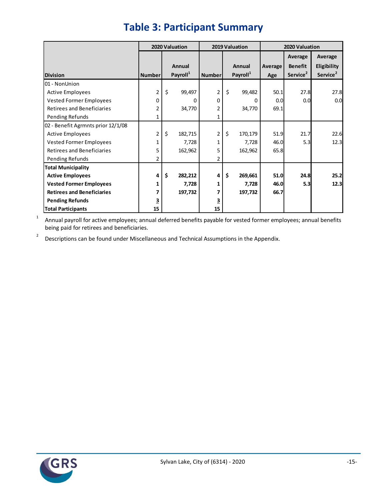|                                    | 2020 Valuation |    |                      | 2019 Valuation |    |                      | 2020 Valuation |                      |                      |  |
|------------------------------------|----------------|----|----------------------|----------------|----|----------------------|----------------|----------------------|----------------------|--|
|                                    |                |    |                      |                |    |                      | Average        | Average              |                      |  |
|                                    |                |    | Annual               |                |    | Annual               | Average        | <b>Benefit</b>       | Eligibility          |  |
| <b>Division</b>                    | <b>Number</b>  |    | Payroll <sup>1</sup> | Number         |    | Payroll <sup>1</sup> | Age            | Service <sup>2</sup> | Service <sup>2</sup> |  |
| 01 - NonUnion                      |                |    |                      |                |    |                      |                |                      |                      |  |
| <b>Active Employees</b>            | $\overline{2}$ | \$ | 99,497               | $\overline{2}$ | \$ | 99,482               | 50.1           | 27.8                 | 27.8                 |  |
| Vested Former Employees            | 0              |    | 0                    | 0              |    | 0                    | 0.0            | 0.0                  | 0.0                  |  |
| <b>Retirees and Beneficiaries</b>  | 2              |    | 34,770               | $\overline{2}$ |    | 34,770               | 69.1           |                      |                      |  |
| Pending Refunds                    | 1              |    |                      | 1              |    |                      |                |                      |                      |  |
| 02 - Benefit Agrmnts prior 12/1/08 |                |    |                      |                |    |                      |                |                      |                      |  |
| <b>Active Employees</b>            | $\overline{2}$ | \$ | 182,715              | 2              | \$ | 170,179              | 51.9           | 21.7                 | 22.6                 |  |
| Vested Former Employees            | 1              |    | 7,728                |                |    | 7,728                | 46.0           | 5.3                  | 12.3                 |  |
| <b>Retirees and Beneficiaries</b>  | 5              |    | 162,962              | 5              |    | 162,962              | 65.8           |                      |                      |  |
| Pending Refunds                    | 2              |    |                      | 2              |    |                      |                |                      |                      |  |
| <b>Total Municipality</b>          |                |    |                      |                |    |                      |                |                      |                      |  |
| <b>Active Employees</b>            | 4              | \$ | 282,212              | 4              | \$ | 269,661              | 51.0           | 24.8                 | 25.2                 |  |
| <b>Vested Former Employees</b>     | 1              |    | 7,728                | 1              |    | 7,728                | 46.0           | 5.3                  | 12.3                 |  |
| <b>Retirees and Beneficiaries</b>  | 7              |    | 197,732              |                |    | 197,732              | 66.7           |                      |                      |  |
| <b>Pending Refunds</b>             | 3              |    |                      |                |    |                      |                |                      |                      |  |
| <b>Total Participants</b>          | 15             |    |                      | 15             |    |                      |                |                      |                      |  |

# **Table 3: Participant Summary**

1 Annual payroll for active employees; annual deferred benefits payable for vested former employees; annual benefits being paid for retirees and beneficiaries.

2 Descriptions can be found under Miscellaneous and Technical Assumptions in the Appendix.

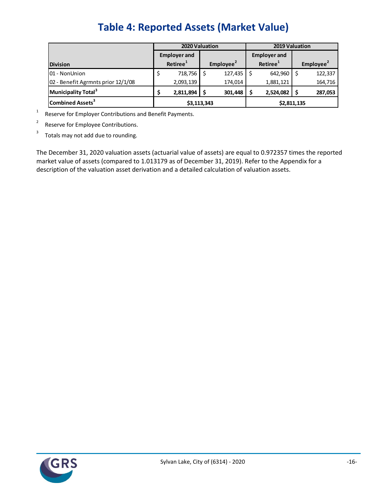|                                    |                            | 2020 Valuation       |  |                       |  |                      | 2019 Valuation        |         |  |
|------------------------------------|----------------------------|----------------------|--|-----------------------|--|----------------------|-----------------------|---------|--|
|                                    |                            | <b>Employer and</b>  |  |                       |  | <b>Employer and</b>  |                       |         |  |
| <b>Division</b>                    |                            | Retiree <sup>1</sup> |  | Employee <sup>2</sup> |  | Retiree <sup>1</sup> | Employee <sup>2</sup> |         |  |
| 01 - NonUnion                      |                            | 718,756              |  | 127,435               |  | 642,960              |                       | 122,337 |  |
| 02 - Benefit Agrmnts prior 12/1/08 |                            | 2,093,139            |  | 174,014               |  | 1,881,121            |                       | 164,716 |  |
| Municipality Total <sup>3</sup>    |                            | 2,811,894            |  | 301,448               |  | 2,524,082            |                       | 287,053 |  |
| Combined Assets <sup>3</sup>       | \$3,113,343<br>\$2,811,135 |                      |  |                       |  |                      |                       |         |  |

1 Reserve for Employer Contributions and Benefit Payments.

2 Reserve for Employee Contributions.

3 Totals may not add due to rounding.

The December 31, 2020 valuation assets (actuarial value of assets) are equal to 0.972357 times the reported market value of assets (compared to 1.013179 as of December 31, 2019). Refer to the Appendix for a description of the valuation asset derivation and a detailed calculation of valuation assets.

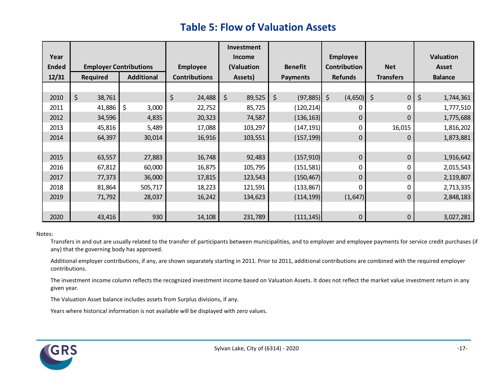## **Table 5: Flow of Valuation Assets**

|              |                               |                   |                      | Investment    |                 |                    |                  |                 |
|--------------|-------------------------------|-------------------|----------------------|---------------|-----------------|--------------------|------------------|-----------------|
| Year         |                               |                   |                      | <b>Income</b> |                 |                    |                  | Valuation       |
| <b>Ended</b> | <b>Employer Contributions</b> |                   | <b>Employee</b>      | (Valuation    | <b>Benefit</b>  | Contribution       | <b>Net</b>       | <b>Asset</b>    |
| 12/31        | <b>Required</b>               | <b>Additional</b> | <b>Contributions</b> | Assets)       | <b>Payments</b> | <b>Refunds</b>     | <b>Transfers</b> | <b>Balance</b>  |
|              |                               |                   |                      |               |                 |                    |                  |                 |
| 2010         | \$<br>38,761                  |                   | \$<br>24,488         | \$<br>89,525  | \$<br>(97, 885) | $\zeta$<br>(4,650) | \$<br>$\pmb{0}$  | \$<br>1,744,361 |
| 2011         | 41,886                        | \$<br>3,000       | 22,752               | 85,725        | (120, 214)      |                    | 0                | 1,777,510       |
| 2012         | 34,596                        | 4,835             | 20,323               | 74,587        | (136, 163)      | 0                  | 0                | 1,775,688       |
| 2013         | 45,816                        | 5,489             | 17,088               | 103,297       | (147,191)       |                    | 16,015           | 1,816,202       |
| 2014         | 64,397                        | 30,014            | 16,916               | 103,551       | (157, 199)      | 0                  | 0                | 1,873,881       |
|              |                               |                   |                      |               |                 |                    |                  |                 |
| 2015         | 63,557                        | 27,883            | 16,748               | 92,483        | (157, 910)      | 0                  | 0                | 1,916,642       |
| 2016         | 67,812                        | 60,000            | 16,875               | 105,795       | (151, 581)      | 0                  | 0                | 2,015,543       |
| 2017         | 77,373                        | 36,000            | 17,815               | 123,543       | (150, 467)      | 0                  | 0                | 2,119,807       |
| 2018         | 81,864                        | 505,717           | 18,223               | 121,591       | (133, 867)      | U                  | 0                | 2,713,335       |
| 2019         | 71,792                        | 28,037            | 16,242               | 134,623       | (114, 199)      | (1,647)            | 0                | 2,848,183       |
|              |                               |                   |                      |               |                 |                    |                  |                 |
| 2020         | 43,416                        | 930               | 14,108               | 231,789       | (111, 145)      | 0                  | 0                | 3,027,281       |

#### Notes:

Transfers in and out are usually related to the transfer of participants between municipalities, and to employer and employee payments for service credit purchases (if any) that the governing body has approved.

Additional employer contributions, if any, are shown separately starting in 2011. Prior to 2011, additional contributions are combined with the required employer contributions.

The investment income column reflects the recognized investment income based on Valuation Assets. It does not reflect the market value investment return in any given year.

The Valuation Asset balance includes assets from Surplus divisions, if any.

Years where historical information is not available will be displayed with zero values.

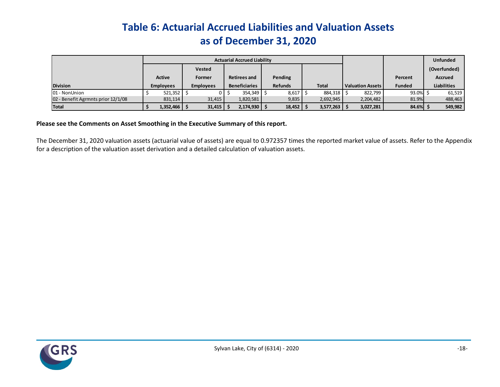# **Table 6: Actuarial Accrued Liabilities and Valuation Assets as of December 31, 2020**

|                                    |  | <b>Actuarial Accrued Liability</b> |  |                  |  |                      |  |                |                            |                         | <b>Unfunded</b> |                    |
|------------------------------------|--|------------------------------------|--|------------------|--|----------------------|--|----------------|----------------------------|-------------------------|-----------------|--------------------|
|                                    |  |                                    |  | <b>Vested</b>    |  |                      |  |                |                            |                         |                 | (Overfunded)       |
|                                    |  | <b>Active</b>                      |  | Former           |  | <b>Retirees and</b>  |  | Pending        |                            |                         | Percent         | <b>Accrued</b>     |
| <b>Division</b>                    |  | <b>Employees</b>                   |  | <b>Employees</b> |  | <b>Beneficiaries</b> |  | <b>Refunds</b> | <b>Total</b>               | <b>Valuation Assets</b> | <b>Funded</b>   | <b>Liabilities</b> |
| 01 - NonUnion                      |  | 521,352                            |  |                  |  | 354,349 \$           |  | 8,617          | 884,318                    | 822,799                 | 93.0%           | 61,519             |
| 02 - Benefit Agrmnts prior 12/1/08 |  | 831,114                            |  | 31,415           |  | 1,820,581            |  | 9,835          | 2,692,945                  | 2,204,482               | 81.9%           | 488,463            |
| Total                              |  | $1,352,466$ $\frac{1}{2}$          |  | 31,415           |  | 2,174,930            |  | 18,452         | $3,577,263$ $\parallel$ \$ | 3,027,281               | 84.6%           | 549,982            |

#### **Please see the Comments on Asset Smoothing in the Executive Summary of this report.**

The December 31, 2020 valuation assets (actuarial value of assets) are equal to 0.972357 times the reported market value of assets. Refer to the Appendix for a description of the valuation asset derivation and a detailed calculation of valuation assets.

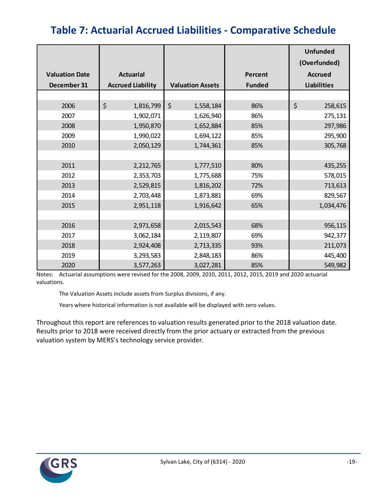# **Table 7: Actuarial Accrued Liabilities - Comparative Schedule**

|                       |                          |                         |                | <b>Unfunded</b><br>(Overfunded) |  |  |
|-----------------------|--------------------------|-------------------------|----------------|---------------------------------|--|--|
| <b>Valuation Date</b> | <b>Actuarial</b>         |                         | <b>Percent</b> | <b>Accrued</b>                  |  |  |
| December 31           | <b>Accrued Liability</b> | <b>Valuation Assets</b> | <b>Funded</b>  | <b>Liabilities</b>              |  |  |
|                       |                          |                         |                |                                 |  |  |
| 2006                  | \$<br>1,816,799          | $\zeta$<br>1,558,184    | 86%            | \$<br>258,615                   |  |  |
| 2007                  | 1,902,071                | 1,626,940               | 86%            | 275,131                         |  |  |
| 2008                  | 1,950,870                | 1,652,884               | 85%            | 297,986                         |  |  |
| 2009                  | 1,990,022                | 1,694,122               | 85%            | 295,900                         |  |  |
| 2010                  | 2,050,129                | 1,744,361               | 85%            | 305,768                         |  |  |
|                       |                          |                         |                |                                 |  |  |
| 2011                  | 2,212,765                | 1,777,510               | 80%            | 435,255                         |  |  |
| 2012                  | 2,353,703                | 1,775,688               | 75%            | 578,015                         |  |  |
| 2013                  | 2,529,815                | 1,816,202               | 72%            | 713,613                         |  |  |
| 2014                  | 2,703,448                | 1,873,881               | 69%            | 829,567                         |  |  |
| 2015                  | 2,951,118                | 1,916,642               | 65%            | 1,034,476                       |  |  |
|                       |                          |                         |                |                                 |  |  |
| 2016                  | 2,971,658                | 2,015,543               | 68%            | 956,115                         |  |  |
| 2017                  | 3,062,184                | 2,119,807               | 69%            | 942,377                         |  |  |
| 2018                  | 2,924,408                | 2,713,335               | 93%            | 211,073                         |  |  |
| 2019                  | 3,293,583                | 2,848,183               | 86%            | 445,400                         |  |  |
| 2020                  | 3,577,263                | 3,027,281               | 85%            | 549,982                         |  |  |

Notes: Actuarial assumptions were revised for the 2008, 2009, 2010, 2011, 2012, 2015, 2019 and 2020 actuarial valuations.

The Valuation Assets include assets from Surplus divisions, if any.

Years where historical information is not available will be displayed with zero values.

Throughout this report are references to valuation results generated prior to the 2018 valuation date. Results prior to 2018 were received directly from the prior actuary or extracted from the previous valuation system by MERS's technology service provider.

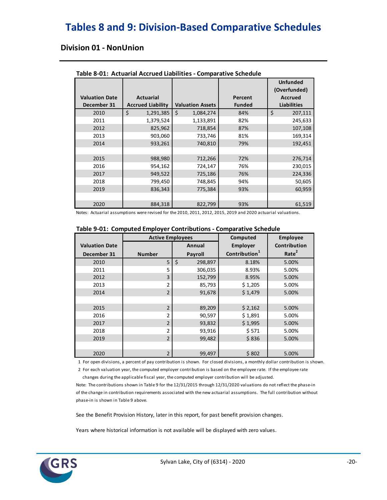## **Tables 8 and 9: Division-Based Comparative Schedules**

#### **Division 01 - NonUnion**

|                       |                          |                         |               | <b>Unfunded</b><br>(Overfunded) |
|-----------------------|--------------------------|-------------------------|---------------|---------------------------------|
| <b>Valuation Date</b> | <b>Actuarial</b>         |                         | Percent       | <b>Accrued</b>                  |
| December 31           | <b>Accrued Liability</b> | <b>Valuation Assets</b> | <b>Funded</b> | <b>Liabilities</b>              |
| 2010                  | \$<br>1,291,385          | Ś.<br>1,084,274         | 84%           | \$<br>207,111                   |
| 2011                  | 1,379,524                | 1,133,891               | 82%           | 245,633                         |
| 2012                  | 825,962                  | 718,854                 | 87%           | 107,108                         |
| 2013                  | 903,060                  | 733,746                 | 81%           | 169,314                         |
| 2014                  | 933,261                  | 740,810                 | 79%           | 192,451                         |
|                       |                          |                         |               |                                 |
| 2015                  | 988,980                  | 712,266                 | 72%           | 276,714                         |
| 2016                  | 954,162                  | 724,147                 | 76%           | 230,015                         |
| 2017                  | 949,522                  | 725,186                 | 76%           | 224,336                         |
| 2018                  | 799,450                  | 748,845                 | 94%           | 50,605                          |
| 2019                  | 836,343                  | 775,384                 | 93%           | 60,959                          |
|                       |                          |                         |               |                                 |
| 2020                  | 884,318                  | 822,799                 | 93%           | 61,519                          |

**Table 8-01: Actuarial Accrued Liabilities - Comparative Schedule**

Notes: Actuarial assumptions were revised for the 2010, 2011, 2012, 2015, 2019 and 2020 actuarial valuations.

| Table 9-01: Computed Employer Contributions - Comparative Schedule |                         |               |                           |                   |  |  |  |  |  |  |
|--------------------------------------------------------------------|-------------------------|---------------|---------------------------|-------------------|--|--|--|--|--|--|
|                                                                    | <b>Active Employees</b> |               | Computed                  | <b>Employee</b>   |  |  |  |  |  |  |
| <b>Valuation Date</b>                                              |                         | Annual        | <b>Employer</b>           | Contribution      |  |  |  |  |  |  |
| December 31                                                        | <b>Number</b>           | Payroll       | Contribution <sup>1</sup> | Rate <sup>2</sup> |  |  |  |  |  |  |
| 2010                                                               | 5                       | \$<br>298,897 | 8.18%                     | 5.00%             |  |  |  |  |  |  |
| 2011                                                               | 5                       | 306,035       | 8.93%                     | 5.00%             |  |  |  |  |  |  |
| 2012                                                               | 3                       | 152,799       | 8.95%                     | 5.00%             |  |  |  |  |  |  |
| 2013                                                               | 2                       | 85,793        | \$1,205                   | 5.00%             |  |  |  |  |  |  |
| 2014                                                               | $\overline{2}$          | 91,678        | \$1,479                   | 5.00%             |  |  |  |  |  |  |
|                                                                    |                         |               |                           |                   |  |  |  |  |  |  |
| 2015                                                               | $\overline{2}$          | 89,209        | \$2,162                   | 5.00%             |  |  |  |  |  |  |
| 2016                                                               | $\mathfrak z$           | 90,597        | \$1,891                   | 5.00%             |  |  |  |  |  |  |
| 2017                                                               | $\overline{2}$          | 93,832        | \$1,995                   | 5.00%             |  |  |  |  |  |  |
| 2018                                                               | $\overline{2}$          | 93,916        | \$571                     | 5.00%             |  |  |  |  |  |  |
| 2019                                                               | $\overline{2}$          | 99,482        | \$836                     | 5.00%             |  |  |  |  |  |  |
|                                                                    |                         |               |                           |                   |  |  |  |  |  |  |
| 2020                                                               | $\overline{2}$          | 99,497        | \$802                     | 5.00%             |  |  |  |  |  |  |

1 For open divisions, a percent of pay contribution is shown. For closed divisions, a monthly dollar contribution is shown.

 2 For each valuation year, the computed employer contribution is based on the employee rate. If the employee rate changes during the applicable fiscal year, the computed employer contribution will be adjusted.

Note: The contributions shown in Table 9 for the 12/31/2015 through 12/31/2020 valuations do not reflect the phase-in of the change in contribution requirements associated with the new actuarial assumptions. The full contribution without phase-in is shown in Table 9 above.

See the Benefit Provision History, later in this report, for past benefit provision changes.

Years where historical information is not available will be displayed with zero values.

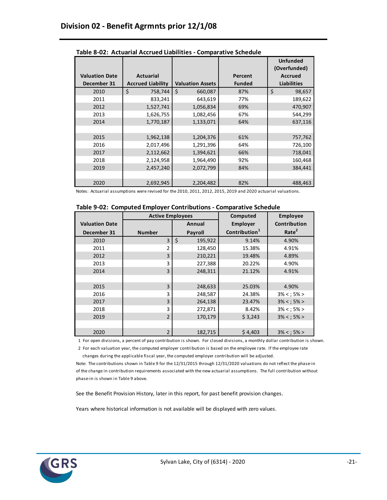|                                      |                                              |                         |                          | <b>Unfunded</b><br>(Overfunded)      |  |
|--------------------------------------|----------------------------------------------|-------------------------|--------------------------|--------------------------------------|--|
| <b>Valuation Date</b><br>December 31 | <b>Actuarial</b><br><b>Accrued Liability</b> | <b>Valuation Assets</b> | Percent<br><b>Funded</b> | <b>Accrued</b><br><b>Liabilities</b> |  |
| 2010                                 | \$<br>758,744                                | \$<br>660,087           | 87%                      | \$<br>98,657                         |  |
| 2011                                 | 833,241                                      | 643,619                 | 77%                      | 189,622                              |  |
| 2012                                 | 1,527,741                                    | 1,056,834               | 69%                      | 470,907                              |  |
| 2013                                 | 1,626,755                                    | 1,082,456               | 67%                      | 544,299                              |  |
| 2014                                 | 1,770,187                                    | 1,133,071               | 64%                      | 637,116                              |  |
|                                      |                                              |                         |                          |                                      |  |
| 2015                                 | 1,962,138                                    | 1,204,376               | 61%                      | 757,762                              |  |
| 2016                                 | 2,017,496                                    | 1,291,396               | 64%                      | 726,100                              |  |
| 2017                                 | 2,112,662                                    | 1,394,621               | 66%                      | 718,041                              |  |
| 2018                                 | 2,124,958                                    | 1,964,490               | 92%                      | 160,468                              |  |
| 2019                                 | 2,457,240                                    | 2,072,799               | 84%                      | 384,441                              |  |
|                                      |                                              |                         |                          |                                      |  |
| 2020                                 | 2,692,945                                    | 2,204,482               | 82%                      | 488,463                              |  |

**Table 8-02: Actuarial Accrued Liabilities - Comparative Schedule**

Notes: Actuarial assumptions were revised for the 2010, 2011, 2012, 2015, 2019 and 2020 actuarial valuations.

|  | Table 9-02: Computed Employer Contributions - Comparative Schedule |  |  |  |
|--|--------------------------------------------------------------------|--|--|--|
|--|--------------------------------------------------------------------|--|--|--|

|                       | <b>Active Employees</b> |               | Computed                  | <b>Employee</b>     |
|-----------------------|-------------------------|---------------|---------------------------|---------------------|
| <b>Valuation Date</b> |                         | Annual        | Employer                  | <b>Contribution</b> |
| December 31           | <b>Number</b>           | Payroll       | Contribution <sup>1</sup> | Rate <sup>2</sup>   |
| 2010                  | 3                       | \$<br>195,922 | 9.14%                     | 4.90%               |
| 2011                  | 2                       | 128,450       | 15.38%                    | 4.91%               |
| 2012                  | 3                       | 210,221       | 19.48%                    | 4.89%               |
| 2013                  | 3                       | 227,388       | 20.22%                    | 4.90%               |
| 2014                  | 3                       | 248,311       | 21.12%                    | 4.91%               |
|                       |                         |               |                           |                     |
| 2015                  | 3                       | 248,633       | 25.03%                    | 4.90%               |
| 2016                  | 3                       | 248,587       | 24.38%                    | $3\% < 5\% >$       |
| 2017                  | 3                       | 264,138       | 23.47%                    | $3\% < ; 5\% >$     |
| 2018                  | 3                       | 272,871       | 8.42%                     | $3\% < 5\% >$       |
| 2019                  | $\overline{2}$          | 170,179       | \$3,243                   | $3\% < ; 5\% >$     |
|                       |                         |               |                           |                     |
| 2020                  | $\overline{2}$          | 182,715       | \$4,403                   | $3\% < ; 5\% >$     |

1 For open divisions, a percent of pay contribution is shown. For closed divisions, a monthly dollar contribution is shown.

 2 For each valuation year, the computed employer contribution is based on the employee rate. If the employee rate changes during the applicable fiscal year, the computed employer contribution will be adjusted.

Note: The contributions shown in Table 9 for the 12/31/2015 through 12/31/2020 valuations do not reflect the phase-in of the change in contribution requirements associated with the new actuarial assumptions. The full contribution without phase-in is shown in Table 9 above.

See the Benefit Provision History, later in this report, for past benefit provision changes.

Years where historical information is not available will be displayed with zero values.

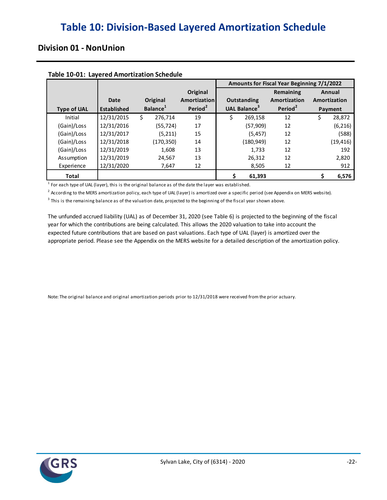### **Division 01 - NonUnion**

| Table 10 01. Eagered Alliot Geacion Schedale |                    |                      |                          | Amounts for Fiscal Year Beginning 7/1/2022 |                           |                        |  |  |  |
|----------------------------------------------|--------------------|----------------------|--------------------------|--------------------------------------------|---------------------------|------------------------|--|--|--|
|                                              | Date               | Original             | Original<br>Amortization | Outstanding                                | Remaining<br>Amortization | Annual<br>Amortization |  |  |  |
| <b>Type of UAL</b>                           | <b>Established</b> | Balance <sup>1</sup> | Period <sup>2</sup>      | <b>UAL Balance</b> <sup>3</sup>            | Period <sup>2</sup>       | Payment                |  |  |  |
| Initial                                      | 12/31/2015         | 276.714<br>S         | 19                       | Ŝ.<br>269,158                              | 12                        | \$<br>28,872           |  |  |  |
| (Gain)/Loss                                  | 12/31/2016         | (55, 724)            | 17                       | (57,909)                                   | 12                        | (6, 216)               |  |  |  |
| (Gain)/Loss                                  | 12/31/2017         | (5, 211)             | 15                       | (5, 457)                                   | 12                        | (588)                  |  |  |  |
| (Gain)/Loss                                  | 12/31/2018         | (170,350)            | 14                       | (180, 949)                                 | 12                        | (19, 416)              |  |  |  |
| (Gain)/Loss                                  | 12/31/2019         | 1,608                | 13                       | 1.733                                      | 12                        | 192                    |  |  |  |
| Assumption                                   | 12/31/2019         | 24,567               | 13                       | 26,312                                     | 12                        | 2,820                  |  |  |  |
| Experience                                   | 12/31/2020         | 7,647                | 12                       | 8,505                                      | 12                        | 912                    |  |  |  |
| <b>Total</b>                                 |                    |                      |                          | 61,393                                     |                           | 6,576                  |  |  |  |

#### **Table 10-01: Layered Amortization Schedule**

 $<sup>1</sup>$  For each type of UAL (layer), this is the original balance as of the date the layer was established.</sup>

 $^2$  According to the MERS amortization policy, each type of UAL (layer) is amortized over a specific period (see Appendix on MERS website).

 $^3$  This is the remaining balance as of the valuation date, projected to the beginning of the fiscal year shown above.

The unfunded accrued liability (UAL) as of December 31, 2020 (see Table 6) is projected to the beginning of the fiscal appropriate period. Please see the Appendix on the MERS website for a detailed description of the amortization policy. year for which the contributions are being calculated. This allows the 2020 valuation to take into account the expected future contributions that are based on past valuations. Each type of UAL (layer) is amortized over the

Note: The original balance and original amortization periods prior to 12/31/2018 were received from the prior actuary.

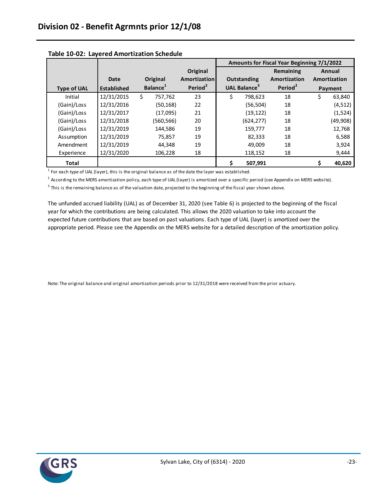|                    |                    |    |                      |                     | Amounts for Fiscal Year Beginning 7/1/2022 |                                 |                     |    |              |  |
|--------------------|--------------------|----|----------------------|---------------------|--------------------------------------------|---------------------------------|---------------------|----|--------------|--|
|                    |                    |    |                      | Original            |                                            |                                 | Remaining           |    | Annual       |  |
|                    | Date               |    | Original             | Amortization        |                                            | Outstanding                     | Amortization        |    | Amortization |  |
| <b>Type of UAL</b> | <b>Established</b> |    | Balance <sup>1</sup> | Period <sup>2</sup> |                                            | <b>UAL Balance</b> <sup>3</sup> | Period <sup>2</sup> |    | Payment      |  |
| Initial            | 12/31/2015         | S. | 757,762              | 23                  | Ŝ.                                         | 798,623                         | 18                  | \$ | 63,840       |  |
| (Gain)/Loss        | 12/31/2016         |    | (50, 168)            | 22                  |                                            | (56, 504)                       | 18                  |    | (4, 512)     |  |
| (Gain)/Loss        | 12/31/2017         |    | (17,095)             | 21                  |                                            | (19, 122)                       | 18                  |    | (1,524)      |  |
| (Gain)/Loss        | 12/31/2018         |    | (560,566)            | 20                  |                                            | (624, 277)                      | 18                  |    | (49,908)     |  |
| (Gain)/Loss        | 12/31/2019         |    | 144,586              | 19                  |                                            | 159,777                         | 18                  |    | 12,768       |  |
| Assumption         | 12/31/2019         |    | 75.857               | 19                  |                                            | 82,333                          | 18                  |    | 6,588        |  |
| Amendment          | 12/31/2019         |    | 44.348               | 19                  |                                            | 49.009                          | 18                  |    | 3,924        |  |
| Experience         | 12/31/2020         |    | 106,228              | 18                  |                                            | 118,152                         | 18                  |    | 9,444        |  |
| <b>Total</b>       |                    |    |                      |                     |                                            | 507.991                         |                     |    | 40,620       |  |

#### **Table 10-02: Layered Amortization Schedule**

 $<sup>1</sup>$  For each type of UAL (layer), this is the original balance as of the date the layer was established.</sup>

<sup>2</sup> According to the MERS amortization policy, each type of UAL (layer) is amortized over a specific period (see Appendix on MERS website).

 $3$  This is the remaining balance as of the valuation date, projected to the beginning of the fiscal year shown above.

The unfunded accrued liability (UAL) as of December 31, 2020 (see Table 6) is projected to the beginning of the fiscal appropriate period. Please see the Appendix on the MERS website for a detailed description of the amortization policy. year for which the contributions are being calculated. This allows the 2020 valuation to take into account the expected future contributions that are based on past valuations. Each type of UAL (layer) is amortized over the

Note: The original balance and original amortization periods prior to 12/31/2018 were received from the prior actuary.

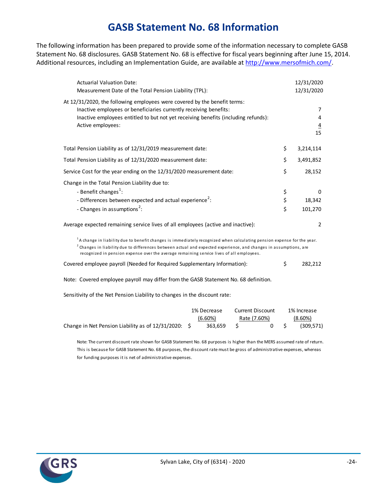### **GASB Statement No. 68 Information**

The following information has been prepared to provide some of the information necessary to complete GASB Statement No. 68 disclosures. GASB Statement No. 68 is effective for fiscal years beginning after June 15, 2014. Additional resources, including an Implementation Guide, are available at http://www.mersofmich.com/.

| <b>Actuarial Valuation Date:</b><br>Measurement Date of the Total Pension Liability (TPL):                                                                                                                                                                                                                                                               |                | 12/31/2020<br>12/31/2020       |
|----------------------------------------------------------------------------------------------------------------------------------------------------------------------------------------------------------------------------------------------------------------------------------------------------------------------------------------------------------|----------------|--------------------------------|
| At 12/31/2020, the following employees were covered by the benefit terms:<br>Inactive employees or beneficiaries currently receiving benefits:<br>Inactive employees entitled to but not yet receiving benefits (including refunds):<br>Active employees:                                                                                                |                | 7<br>4<br>$\overline{4}$<br>15 |
| Total Pension Liability as of 12/31/2019 measurement date:                                                                                                                                                                                                                                                                                               | \$             | 3,214,114                      |
| Total Pension Liability as of 12/31/2020 measurement date:                                                                                                                                                                                                                                                                                               | \$             | 3,491,852                      |
| Service Cost for the year ending on the 12/31/2020 measurement date:                                                                                                                                                                                                                                                                                     | \$             | 28,152                         |
| Change in the Total Pension Liability due to:<br>- Benefit changes <sup>1</sup> :<br>- Differences between expected and actual experience <sup>2</sup> :<br>- Changes in assumptions <sup>2</sup> :                                                                                                                                                      | \$<br>\$<br>\$ | 0<br>18,342<br>101,270         |
| Average expected remaining service lives of all employees (active and inactive):                                                                                                                                                                                                                                                                         |                | $\overline{2}$                 |
| <sup>1</sup> A change in liability due to benefit changes is immediately recognized when calculating pension expense for the year.<br>$^{2}$ Changes in liability due to differences between actual and expected experience, and changes in assumptions, are<br>recognized in pension expense over the average remaining service lives of all employees. |                |                                |
| Covered employee payroll (Needed for Required Supplementary Information):                                                                                                                                                                                                                                                                                | \$             | 282,212                        |
| Note: Covered employee payroll may differ from the GASB Statement No. 68 definition.                                                                                                                                                                                                                                                                     |                |                                |
| Sensitivity of the Net Pension Liability to changes in the discount rate:                                                                                                                                                                                                                                                                                |                |                                |

|                                                         | 1% Decrease |            | <b>Current Discount</b> | 1% Increase |            |  |
|---------------------------------------------------------|-------------|------------|-------------------------|-------------|------------|--|
|                                                         |             | $(6.60\%)$ | Rate (7.60%)            |             | $(8.60\%)$ |  |
| Change in Net Pension Liability as of $12/31/2020$ : \$ |             | 363.659    | 0 S                     |             | (309, 571) |  |

Note: The current discount rate shown for GASB Statement No. 68 purposes is higher than the MERS assumed rate of return. This is because for GASB Statement No. 68 purposes, the discount rate must be gross of administrative expenses, whereas for funding purposes it is net of administrative expenses.

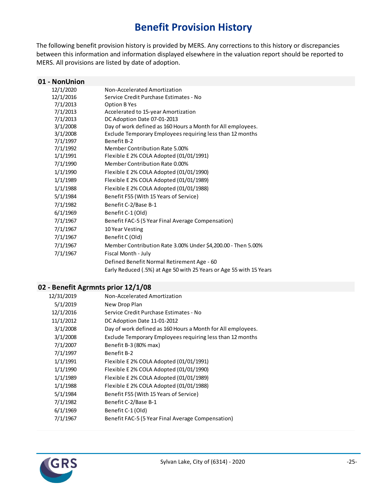# **Benefit Provision History**

The following benefit provision history is provided by MERS. Any corrections to this history or discrepancies between this information and information displayed elsewhere in the valuation report should be reported to MERS. All provisions are listed by date of adoption.

| 01 - NonUnion |                                                                     |
|---------------|---------------------------------------------------------------------|
| 12/1/2020     | Non-Accelerated Amortization                                        |
| 12/1/2016     | Service Credit Purchase Estimates - No                              |
| 7/1/2013      | Option B Yes                                                        |
| 7/1/2013      | Accelerated to 15-year Amortization                                 |
| 7/1/2013      | DC Adoption Date 07-01-2013                                         |
| 3/1/2008      | Day of work defined as 160 Hours a Month for All employees.         |
| 3/1/2008      | Exclude Temporary Employees requiring less than 12 months           |
| 7/1/1997      | Benefit B-2                                                         |
| 7/1/1992      | Member Contribution Rate 5.00%                                      |
| 1/1/1991      | Flexible E 2% COLA Adopted (01/01/1991)                             |
| 7/1/1990      | Member Contribution Rate 0.00%                                      |
| 1/1/1990      | Flexible E 2% COLA Adopted (01/01/1990)                             |
| 1/1/1989      | Flexible E 2% COLA Adopted (01/01/1989)                             |
| 1/1/1988      | Flexible E 2% COLA Adopted (01/01/1988)                             |
| 5/1/1984      | Benefit F55 (With 15 Years of Service)                              |
| 7/1/1982      | Benefit C-2/Base B-1                                                |
| 6/1/1969      | Benefit C-1 (Old)                                                   |
| 7/1/1967      | Benefit FAC-5 (5 Year Final Average Compensation)                   |
| 7/1/1967      | 10 Year Vesting                                                     |
| 7/1/1967      | Benefit C (Old)                                                     |
| 7/1/1967      | Member Contribution Rate 3.00% Under \$4,200.00 - Then 5.00%        |
| 7/1/1967      | Fiscal Month - July                                                 |
|               | Defined Benefit Normal Retirement Age - 60                          |
|               | Early Reduced (.5%) at Age 50 with 25 Years or Age 55 with 15 Years |

#### **02 - Benefit Agrmnts prior 12/1/08**

| 12/31/2019 | Non-Accelerated Amortization                                |
|------------|-------------------------------------------------------------|
| 5/1/2019   | New Drop Plan                                               |
| 12/1/2016  | Service Credit Purchase Estimates - No                      |
| 11/1/2012  | DC Adoption Date 11-01-2012                                 |
| 3/1/2008   | Day of work defined as 160 Hours a Month for All employees. |
| 3/1/2008   | Exclude Temporary Employees requiring less than 12 months   |
| 7/1/2007   | Benefit B-3 (80% max)                                       |
| 7/1/1997   | Benefit B-2                                                 |
| 1/1/1991   | Flexible E 2% COLA Adopted (01/01/1991)                     |
| 1/1/1990   | Flexible E 2% COLA Adopted (01/01/1990)                     |
| 1/1/1989   | Flexible E 2% COLA Adopted (01/01/1989)                     |
| 1/1/1988   | Flexible E 2% COLA Adopted (01/01/1988)                     |
| 5/1/1984   | Benefit F55 (With 15 Years of Service)                      |
| 7/1/1982   | Benefit C-2/Base B-1                                        |
| 6/1/1969   | Benefit C-1 (Old)                                           |
| 7/1/1967   | Benefit FAC-5 (5 Year Final Average Compensation)           |
|            |                                                             |

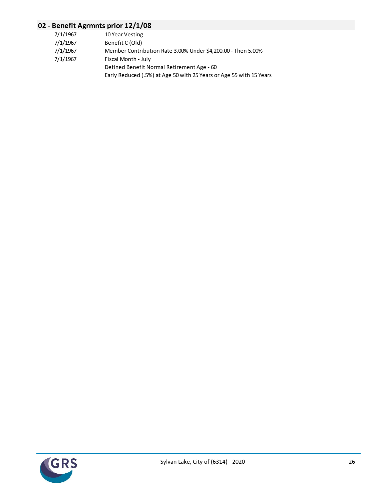### **02 - Benefit Agrmnts prior 12/1/08**

| 7/1/1967<br>10 Year Vesting                                              |  |
|--------------------------------------------------------------------------|--|
| 7/1/1967<br>Benefit C (Old)                                              |  |
| 7/1/1967<br>Member Contribution Rate 3.00% Under \$4,200.00 - Then 5.00% |  |
| 7/1/1967<br>Fiscal Month - July                                          |  |
| Defined Benefit Normal Retirement Age - 60                               |  |
| Early Reduced (.5%) at Age 50 with 25 Years or Age 55 with 15 Years      |  |

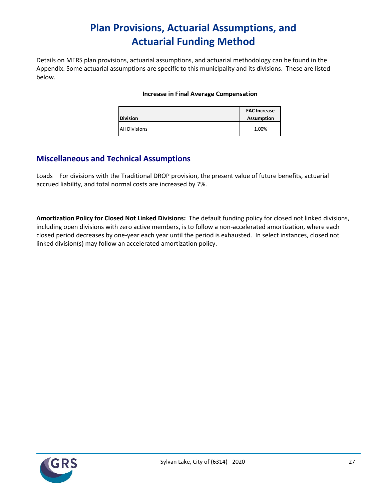# **Plan Provisions, Actuarial Assumptions, and Actuarial Funding Method**

Details on MERS plan provisions, actuarial assumptions, and actuarial methodology can be found in the Appendix. Some actuarial assumptions are specific to this municipality and its divisions. These are listed below.

#### **Increase in Final Average Compensation**

| <b>Division</b>      | <b>FAC Increase</b><br><b>Assumption</b> |
|----------------------|------------------------------------------|
| <b>All Divisions</b> | 1.00%                                    |

### **Miscellaneous and Technical Assumptions**

Loads – For divisions with the Traditional DROP provision, the present value of future benefits, actuarial accrued liability, and total normal costs are increased by 7%.

**Amortization Policy for Closed Not Linked Divisions:** The default funding policy for closed not linked divisions, including open divisions with zero active members, is to follow a non-accelerated amortization, where each closed period decreases by one-year each year until the period is exhausted. In select instances, closed not linked division(s) may follow an accelerated amortization policy.

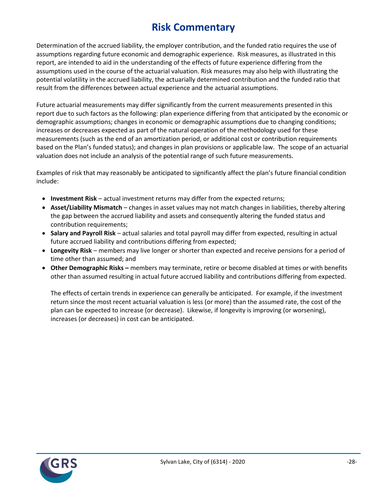# **Risk Commentary**

Determination of the accrued liability, the employer contribution, and the funded ratio requires the use of assumptions regarding future economic and demographic experience. Risk measures, as illustrated in this report, are intended to aid in the understanding of the effects of future experience differing from the assumptions used in the course of the actuarial valuation. Risk measures may also help with illustrating the potential volatility in the accrued liability, the actuarially determined contribution and the funded ratio that result from the differences between actual experience and the actuarial assumptions.

Future actuarial measurements may differ significantly from the current measurements presented in this report due to such factors as the following: plan experience differing from that anticipated by the economic or demographic assumptions; changes in economic or demographic assumptions due to changing conditions; increases or decreases expected as part of the natural operation of the methodology used for these measurements (such as the end of an amortization period, or additional cost or contribution requirements based on the Plan's funded status); and changes in plan provisions or applicable law. The scope of an actuarial valuation does not include an analysis of the potential range of such future measurements.

Examples of risk that may reasonably be anticipated to significantly affect the plan's future financial condition include:

- **Investment Risk** actual investment returns may differ from the expected returns;
- **Asset/Liability Mismatch** changes in asset values may not match changes in liabilities, thereby altering the gap between the accrued liability and assets and consequently altering the funded status and contribution requirements;
- **Salary and Payroll Risk** actual salaries and total payroll may differ from expected, resulting in actual future accrued liability and contributions differing from expected;
- **Longevity Risk** members may live longer or shorter than expected and receive pensions for a period of time other than assumed; and
- **Other Demographic Risks –** members may terminate, retire or become disabled at times or with benefits other than assumed resulting in actual future accrued liability and contributions differing from expected.

The effects of certain trends in experience can generally be anticipated. For example, if the investment return since the most recent actuarial valuation is less (or more) than the assumed rate, the cost of the plan can be expected to increase (or decrease). Likewise, if longevity is improving (or worsening), increases (or decreases) in cost can be anticipated.

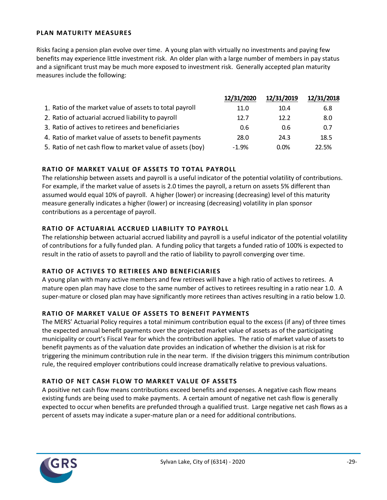#### **PLAN MATURITY MEASURES**

Risks facing a pension plan evolve over time. A young plan with virtually no investments and paying few benefits may experience little investment risk. An older plan with a large number of members in pay status and a significant trust may be much more exposed to investment risk. Generally accepted plan maturity measures include the following:

|                                                           | 12/31/2020 | 12/31/2019 | 12/31/2018 |
|-----------------------------------------------------------|------------|------------|------------|
| 1. Ratio of the market value of assets to total payroll   | 11.0       | 10.4       | 6.8        |
| 2. Ratio of actuarial accrued liability to payroll        | 12.7       | 12.2       | 8.0        |
| 3. Ratio of actives to retirees and beneficiaries         | 0.6        | 0.6        | 0.7        |
| 4. Ratio of market value of assets to benefit payments    | 28.0       | 24.3       | 18.5       |
| 5. Ratio of net cash flow to market value of assets (boy) | $-1.9%$    | 0.0%       | 22.5%      |

#### **RATIO OF MARKET VALUE OF ASSETS TO TOTAL PAYROLL**

The relationship between assets and payroll is a useful indicator of the potential volatility of contributions. For example, if the market value of assets is 2.0 times the payroll, a return on assets 5% different than assumed would equal 10% of payroll. A higher (lower) or increasing (decreasing) level of this maturity measure generally indicates a higher (lower) or increasing (decreasing) volatility in plan sponsor contributions as a percentage of payroll.

#### **RATIO OF ACTUARIAL ACCRUED LIABILITY TO PAYROLL**

The relationship between actuarial accrued liability and payroll is a useful indicator of the potential volatility of contributions for a fully funded plan. A funding policy that targets a funded ratio of 100% is expected to result in the ratio of assets to payroll and the ratio of liability to payroll converging over time.

#### **RATIO OF ACTIVES TO RETIREES AND BENEFICIARIES**

A young plan with many active members and few retirees will have a high ratio of actives to retirees. A mature open plan may have close to the same number of actives to retirees resulting in a ratio near 1.0. A super-mature or closed plan may have significantly more retirees than actives resulting in a ratio below 1.0.

#### **RATIO OF MARKET VALUE OF ASSETS TO BENEFIT PAYMENTS**

The MERS' Actuarial Policy requires a total minimum contribution equal to the excess (if any) of three times the expected annual benefit payments over the projected market value of assets as of the participating municipality or court's Fiscal Year for which the contribution applies. The ratio of market value of assets to benefit payments as of the valuation date provides an indication of whether the division is at risk for triggering the minimum contribution rule in the near term. If the division triggers this minimum contribution rule, the required employer contributions could increase dramatically relative to previous valuations.

#### **RATIO OF NET CASH FLOW TO MARKET VALUE OF ASSETS**

A positive net cash flow means contributions exceed benefits and expenses. A negative cash flow means existing funds are being used to make payments. A certain amount of negative net cash flow is generally expected to occur when benefits are prefunded through a qualified trust. Large negative net cash flows as a percent of assets may indicate a super-mature plan or a need for additional contributions.